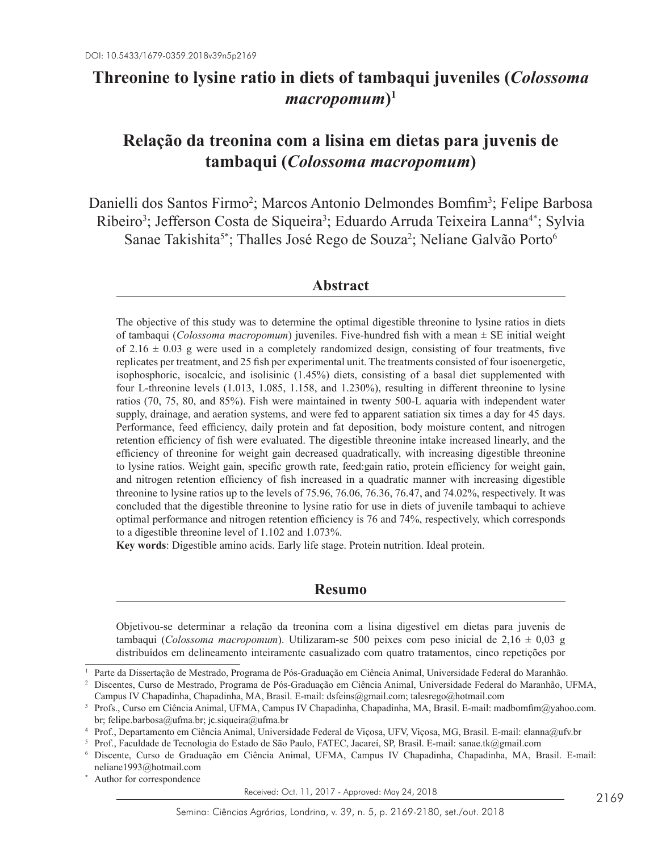## **Threonine to lysine ratio in diets of tambaqui juveniles (***Colossoma macropomum***)1**

# **Relação da treonina com a lisina em dietas para juvenis de tambaqui (***Colossoma macropomum***)**

Danielli dos Santos Firmo<sup>2</sup>; Marcos Antonio Delmondes Bomfim<sup>3</sup>; Felipe Barbosa Ribeiro<sup>3</sup>; Jefferson Costa de Siqueira<sup>3</sup>; Eduardo Arruda Teixeira Lanna<sup>4\*</sup>; Sylvia Sanae Takishita<sup>5\*</sup>; Thalles José Rego de Souza<sup>2</sup>; Neliane Galvão Porto<sup>6</sup>

### **Abstract**

The objective of this study was to determine the optimal digestible threonine to lysine ratios in diets of tambaqui (*Colossoma macropomum*) juveniles. Five-hundred fish with a mean ± SE initial weight of 2.16  $\pm$  0.03 g were used in a completely randomized design, consisting of four treatments, five replicates per treatment, and 25 fish per experimental unit. The treatments consisted of four isoenergetic, isophosphoric, isocalcic, and isolisinic (1.45%) diets, consisting of a basal diet supplemented with four L-threonine levels (1.013, 1.085, 1.158, and 1.230%), resulting in different threonine to lysine ratios (70, 75, 80, and 85%). Fish were maintained in twenty 500-L aquaria with independent water supply, drainage, and aeration systems, and were fed to apparent satiation six times a day for 45 days. Performance, feed efficiency, daily protein and fat deposition, body moisture content, and nitrogen retention efficiency of fish were evaluated. The digestible threonine intake increased linearly, and the efficiency of threonine for weight gain decreased quadratically, with increasing digestible threonine to lysine ratios. Weight gain, specific growth rate, feed:gain ratio, protein efficiency for weight gain, and nitrogen retention efficiency of fish increased in a quadratic manner with increasing digestible threonine to lysine ratios up to the levels of 75.96, 76.06, 76.36, 76.47, and 74.02%, respectively. It was concluded that the digestible threonine to lysine ratio for use in diets of juvenile tambaqui to achieve optimal performance and nitrogen retention efficiency is 76 and 74%, respectively, which corresponds to a digestible threonine level of 1.102 and 1.073%.

**Key words**: Digestible amino acids. Early life stage. Protein nutrition. Ideal protein.

### **Resumo**

Objetivou-se determinar a relação da treonina com a lisina digestível em dietas para juvenis de tambaqui (*Colossoma macropomum*). Utilizaram-se 500 peixes com peso inicial de 2,16 ± 0,03 g distribuídos em delineamento inteiramente casualizado com quatro tratamentos, cinco repetições por

Received: Oct. 11, 2017 - Approved: May 24, 2018

<sup>1</sup> Parte da Dissertação de Mestrado, Programa de Pós-Graduação em Ciência Animal, Universidade Federal do Maranhão.

<sup>2</sup> Discentes, Curso de Mestrado, Programa de Pós-Graduação em Ciência Animal, Universidade Federal do Maranhão, UFMA, Campus IV Chapadinha, Chapadinha, MA, Brasil. E-mail: dsfeins@gmail.com; talesrego@hotmail.com

<sup>3</sup> Profs., Curso em Ciência Animal, UFMA, Campus IV Chapadinha, Chapadinha, MA, Brasil. E-mail: madbomfim@yahoo.com. br; felipe.barbosa@ufma.br; jc.siqueira@ufma.br

<sup>4</sup> Prof., Departamento em Ciência Animal, Universidade Federal de Viçosa, UFV, Viçosa, MG, Brasil. E-mail: elanna@ufv.br

<sup>5</sup> Prof., Faculdade de Tecnologia do Estado de São Paulo, FATEC, Jacareí, SP, Brasil. E-mail: sanae.tk@gmail.com

<sup>6</sup> Discente, Curso de Graduação em Ciência Animal, UFMA, Campus IV Chapadinha, Chapadinha, MA, Brasil. E-mail: neliane1993@hotmail.com

Author for correspondence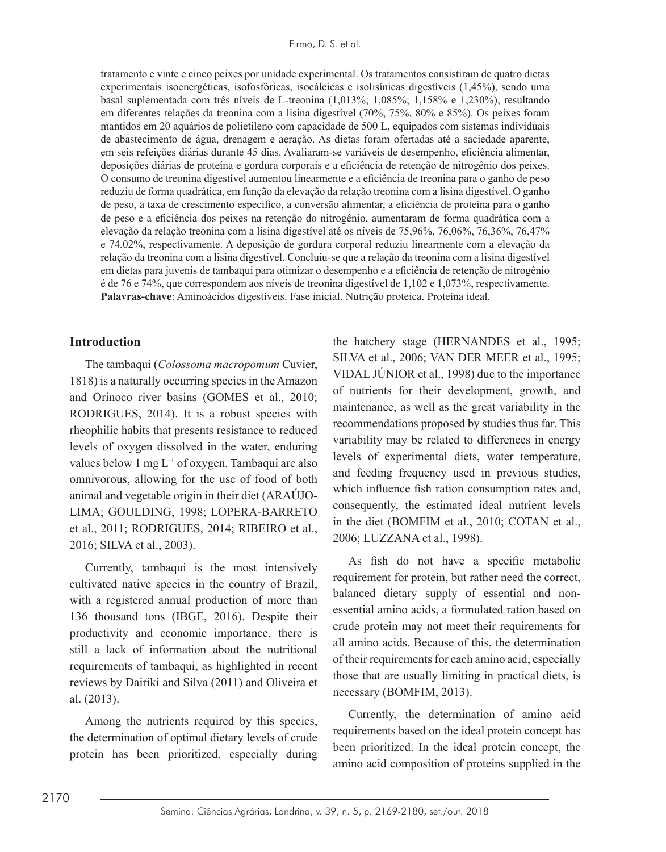tratamento e vinte e cinco peixes por unidade experimental. Os tratamentos consistiram de quatro dietas experimentais isoenergéticas, isofosfóricas, isocálcicas e isolisínicas digestíveis (1,45%), sendo uma basal suplementada com três níveis de L-treonina (1,013%; 1,085%; 1,158% e 1,230%), resultando em diferentes relações da treonina com a lisina digestível (70%, 75%, 80% e 85%). Os peixes foram mantidos em 20 aquários de polietileno com capacidade de 500 L, equipados com sistemas individuais de abastecimento de água, drenagem e aeração. As dietas foram ofertadas até a saciedade aparente, em seis refeições diárias durante 45 dias. Avaliaram-se variáveis de desempenho, eficiência alimentar, deposições diárias de proteína e gordura corporais e a eficiência de retenção de nitrogênio dos peixes. O consumo de treonina digestível aumentou linearmente e a eficiência de treonina para o ganho de peso reduziu de forma quadrática, em função da elevação da relação treonina com a lisina digestível. O ganho de peso, a taxa de crescimento específico, a conversão alimentar, a eficiência de proteína para o ganho de peso e a eficiência dos peixes na retenção do nitrogênio, aumentaram de forma quadrática com a elevação da relação treonina com a lisina digestível até os níveis de 75,96%, 76,06%, 76,36%, 76,47% e 74,02%, respectivamente. A deposição de gordura corporal reduziu linearmente com a elevação da relação da treonina com a lisina digestível. Concluiu-se que a relação da treonina com a lisina digestível em dietas para juvenis de tambaqui para otimizar o desempenho e a eficiência de retenção de nitrogênio é de 76 e 74%, que correspondem aos níveis de treonina digestível de 1,102 e 1,073%, respectivamente. **Palavras-chave**: Aminoácidos digestíveis. Fase inicial. Nutrição proteica. Proteína ideal.

### **Introduction**

The tambaqui (*Colossoma macropomum* Cuvier, 1818) is a naturally occurring species in the Amazon and Orinoco river basins (GOMES et al., 2010; RODRIGUES, 2014). It is a robust species with rheophilic habits that presents resistance to reduced levels of oxygen dissolved in the water, enduring values below 1 mg L-1 of oxygen. Tambaqui are also omnivorous, allowing for the use of food of both animal and vegetable origin in their diet (ARAÚJO-LIMA; GOULDING, 1998; LOPERA-BARRETO et al., 2011; RODRIGUES, 2014; RIBEIRO et al., 2016; SILVA et al., 2003).

Currently, tambaqui is the most intensively cultivated native species in the country of Brazil, with a registered annual production of more than 136 thousand tons (IBGE, 2016). Despite their productivity and economic importance, there is still a lack of information about the nutritional requirements of tambaqui, as highlighted in recent reviews by Dairiki and Silva (2011) and Oliveira et al. (2013).

Among the nutrients required by this species, the determination of optimal dietary levels of crude protein has been prioritized, especially during

the hatchery stage (HERNANDES et al., 1995; SILVA et al., 2006; VAN DER MEER et al., 1995; VIDAL JÚNIOR et al., 1998) due to the importance of nutrients for their development, growth, and maintenance, as well as the great variability in the recommendations proposed by studies thus far. This variability may be related to differences in energy levels of experimental diets, water temperature, and feeding frequency used in previous studies, which influence fish ration consumption rates and, consequently, the estimated ideal nutrient levels in the diet (BOMFIM et al., 2010; COTAN et al., 2006; LUZZANA et al., 1998).

As fish do not have a specific metabolic requirement for protein, but rather need the correct, balanced dietary supply of essential and nonessential amino acids, a formulated ration based on crude protein may not meet their requirements for all amino acids. Because of this, the determination of their requirements for each amino acid, especially those that are usually limiting in practical diets, is necessary (BOMFIM, 2013).

Currently, the determination of amino acid requirements based on the ideal protein concept has been prioritized. In the ideal protein concept, the amino acid composition of proteins supplied in the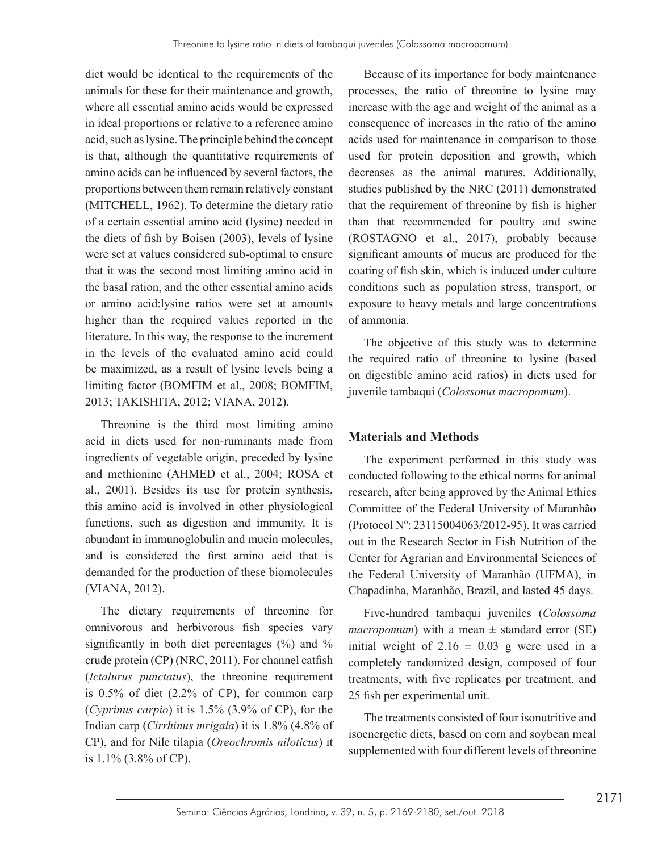diet would be identical to the requirements of the animals for these for their maintenance and growth, where all essential amino acids would be expressed in ideal proportions or relative to a reference amino acid, such as lysine. The principle behind the concept is that, although the quantitative requirements of amino acids can be influenced by several factors, the proportions between them remain relatively constant (MITCHELL, 1962). To determine the dietary ratio of a certain essential amino acid (lysine) needed in the diets of fish by Boisen (2003), levels of lysine were set at values considered sub-optimal to ensure that it was the second most limiting amino acid in the basal ration, and the other essential amino acids or amino acid:lysine ratios were set at amounts higher than the required values reported in the literature. In this way, the response to the increment in the levels of the evaluated amino acid could be maximized, as a result of lysine levels being a limiting factor (BOMFIM et al., 2008; BOMFIM, 2013; TAKISHITA, 2012; VIANA, 2012).

Threonine is the third most limiting amino acid in diets used for non-ruminants made from ingredients of vegetable origin, preceded by lysine and methionine (AHMED et al., 2004; ROSA et al., 2001). Besides its use for protein synthesis, this amino acid is involved in other physiological functions, such as digestion and immunity. It is abundant in immunoglobulin and mucin molecules, and is considered the first amino acid that is demanded for the production of these biomolecules (VIANA, 2012).

The dietary requirements of threonine for omnivorous and herbivorous fish species vary significantly in both diet percentages  $(\%)$  and  $\%$ crude protein (CP) (NRC, 2011). For channel catfish (*Ictalurus punctatus*), the threonine requirement is 0.5% of diet (2.2% of CP), for common carp (*Cyprinus carpio*) it is 1.5% (3.9% of CP), for the Indian carp (*Cirrhinus mrigala*) it is 1.8% (4.8% of CP), and for Nile tilapia (*Oreochromis niloticus*) it is 1.1% (3.8% of CP).

Because of its importance for body maintenance processes, the ratio of threonine to lysine may increase with the age and weight of the animal as a consequence of increases in the ratio of the amino acids used for maintenance in comparison to those used for protein deposition and growth, which decreases as the animal matures. Additionally, studies published by the NRC (2011) demonstrated that the requirement of threonine by fish is higher than that recommended for poultry and swine (ROSTAGNO et al., 2017), probably because significant amounts of mucus are produced for the coating of fish skin, which is induced under culture conditions such as population stress, transport, or exposure to heavy metals and large concentrations of ammonia.

The objective of this study was to determine the required ratio of threonine to lysine (based on digestible amino acid ratios) in diets used for juvenile tambaqui (*Colossoma macropomum*).

## **Materials and Methods**

The experiment performed in this study was conducted following to the ethical norms for animal research, after being approved by the Animal Ethics Committee of the Federal University of Maranhão (Protocol Nº: 23115004063/2012-95). It was carried out in the Research Sector in Fish Nutrition of the Center for Agrarian and Environmental Sciences of the Federal University of Maranhão (UFMA), in Chapadinha, Maranhão, Brazil, and lasted 45 days.

Five-hundred tambaqui juveniles (*Colossoma macropomum*) with a mean  $\pm$  standard error (SE) initial weight of  $2.16 \pm 0.03$  g were used in a completely randomized design, composed of four treatments, with five replicates per treatment, and 25 fish per experimental unit.

The treatments consisted of four isonutritive and isoenergetic diets, based on corn and soybean meal supplemented with four different levels of threonine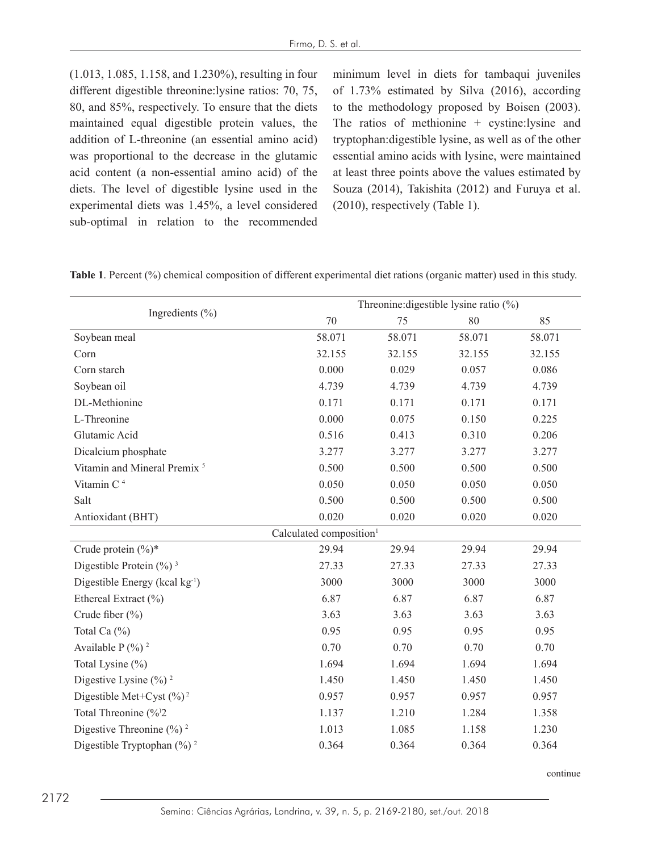(1.013, 1.085, 1.158, and 1.230%), resulting in four different digestible threonine:lysine ratios: 70, 75, 80, and 85%, respectively. To ensure that the diets maintained equal digestible protein values, the addition of L-threonine (an essential amino acid) was proportional to the decrease in the glutamic acid content (a non-essential amino acid) of the diets. The level of digestible lysine used in the experimental diets was 1.45%, a level considered sub-optimal in relation to the recommended minimum level in diets for tambaqui juveniles of 1.73% estimated by Silva (2016), according to the methodology proposed by Boisen (2003). The ratios of methionine + cystine:lysine and tryptophan:digestible lysine, as well as of the other essential amino acids with lysine, were maintained at least three points above the values estimated by Souza (2014), Takishita (2012) and Furuya et al. (2010), respectively (Table 1).

**Table 1**. Percent (%) chemical composition of different experimental diet rations (organic matter) used in this study.

|                                            | Threonine: digestible lysine ratio $(\%)$ |        |        |        |  |
|--------------------------------------------|-------------------------------------------|--------|--------|--------|--|
| Ingredients $(\% )$                        | 70                                        | 75     | 80     | 85     |  |
| Soybean meal                               | 58.071                                    | 58.071 | 58.071 | 58.071 |  |
| Corn                                       | 32.155                                    | 32.155 | 32.155 | 32.155 |  |
| Corn starch                                | 0.000                                     | 0.029  | 0.057  | 0.086  |  |
| Soybean oil                                | 4.739                                     | 4.739  | 4.739  | 4.739  |  |
| DL-Methionine                              | 0.171                                     | 0.171  | 0.171  | 0.171  |  |
| L-Threonine                                | 0.000                                     | 0.075  | 0.150  | 0.225  |  |
| Glutamic Acid                              | 0.516                                     | 0.413  | 0.310  | 0.206  |  |
| Dicalcium phosphate                        | 3.277                                     | 3.277  | 3.277  | 3.277  |  |
| Vitamin and Mineral Premix <sup>5</sup>    | 0.500                                     | 0.500  | 0.500  | 0.500  |  |
| Vitamin C <sup>4</sup>                     | 0.050                                     | 0.050  | 0.050  | 0.050  |  |
| Salt                                       | 0.500                                     | 0.500  | 0.500  | 0.500  |  |
| Antioxidant (BHT)                          | 0.020                                     | 0.020  | 0.020  | 0.020  |  |
|                                            | Calculated composition <sup>1</sup>       |        |        |        |  |
| Crude protein (%)*                         | 29.94                                     | 29.94  | 29.94  | 29.94  |  |
| Digestible Protein $(\frac{9}{0})^3$       | 27.33                                     | 27.33  | 27.33  | 27.33  |  |
| Digestible Energy (kcal kg <sup>-1</sup> ) | 3000                                      | 3000   | 3000   | 3000   |  |
| Ethereal Extract (%)                       | 6.87                                      | 6.87   | 6.87   | 6.87   |  |
| Crude fiber (%)                            | 3.63                                      | 3.63   | 3.63   | 3.63   |  |
| Total Ca (%)                               | 0.95                                      | 0.95   | 0.95   | 0.95   |  |
| Available $P$ (%) <sup>2</sup>             | 0.70                                      | 0.70   | 0.70   | 0.70   |  |
| Total Lysine (%)                           | 1.694                                     | 1.694  | 1.694  | 1.694  |  |
| Digestive Lysine $(\%)$ <sup>2</sup>       | 1.450                                     | 1.450  | 1.450  | 1.450  |  |
| Digestible Met+Cyst $(\frac{6}{2})^2$      | 0.957                                     | 0.957  | 0.957  | 0.957  |  |
| Total Threonine (%2                        | 1.137                                     | 1.210  | 1.284  | 1.358  |  |
| Digestive Threonine $(\frac{9}{6})^2$      | 1.013                                     | 1.085  | 1.158  | 1.230  |  |
| Digestible Tryptophan $(\frac{6}{6})^2$    | 0.364                                     | 0.364  | 0.364  | 0.364  |  |

continue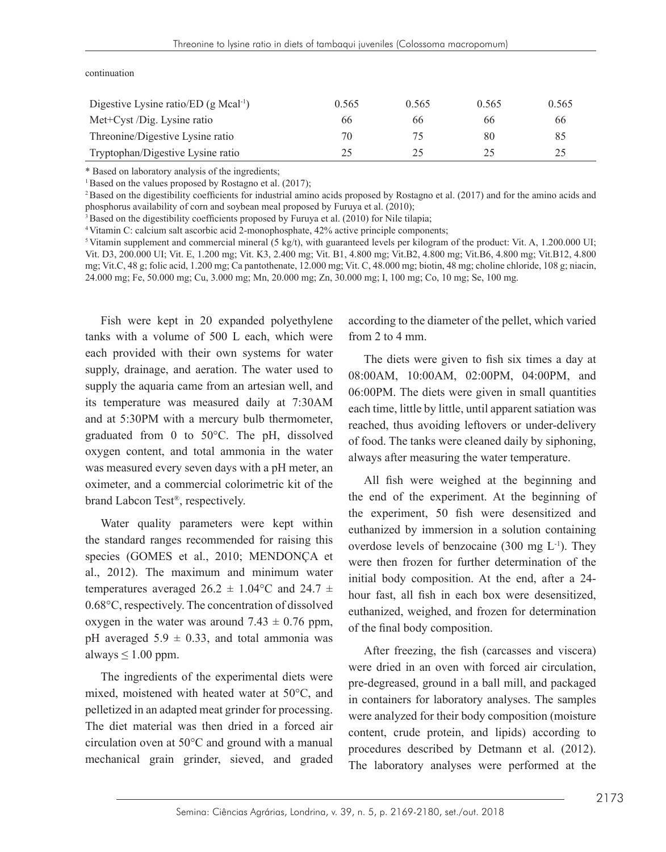| Digestive Lysine ratio/ED (g Mcal <sup>-1</sup> ) | 0.565 | 0.565 | 0.565 | 0.565 |
|---------------------------------------------------|-------|-------|-------|-------|
| Met+Cyst /Dig. Lysine ratio                       | 66    | 66    | 66    | 66    |
| Threonine/Digestive Lysine ratio                  | 70    |       | 80    | 85    |
| Tryptophan/Digestive Lysine ratio                 | 25    | 25    | 25    | 25    |

#### continuation

\* Based on laboratory analysis of the ingredients;

<sup>1</sup> Based on the values proposed by Rostagno et al. (2017);

<sup>2</sup>Based on the digestibility coefficients for industrial amino acids proposed by Rostagno et al. (2017) and for the amino acids and phosphorus availability of corn and soybean meal proposed by Furuya et al. (2010);

<sup>3</sup> Based on the digestibility coefficients proposed by Furuya et al. (2010) for Nile tilapia;

<sup>4</sup>Vitamin C: calcium salt ascorbic acid 2-monophosphate, 42% active principle components;

 $5$  Vitamin supplement and commercial mineral (5 kg/t), with guaranteed levels per kilogram of the product: Vit. A, 1.200.000 UI; Vit. D3, 200.000 UI; Vit. E, 1.200 mg; Vit. K3, 2.400 mg; Vit. B1, 4.800 mg; Vit.B2, 4.800 mg; Vit.B6, 4.800 mg; Vit.B12, 4.800 mg; Vit.C, 48 g; folic acid, 1.200 mg; Ca pantothenate, 12.000 mg; Vit. C, 48.000 mg; biotin, 48 mg; choline chloride, 108 g; niacin, 24.000 mg; Fe, 50.000 mg; Cu, 3.000 mg; Mn, 20.000 mg; Zn, 30.000 mg; I, 100 mg; Co, 10 mg; Se, 100 mg.

Fish were kept in 20 expanded polyethylene tanks with a volume of 500 L each, which were each provided with their own systems for water supply, drainage, and aeration. The water used to supply the aquaria came from an artesian well, and its temperature was measured daily at 7:30AM and at 5:30PM with a mercury bulb thermometer, graduated from 0 to 50°C. The pH, dissolved oxygen content, and total ammonia in the water was measured every seven days with a pH meter, an oximeter, and a commercial colorimetric kit of the brand Labcon Test®, respectively.

Water quality parameters were kept within the standard ranges recommended for raising this species (GOMES et al., 2010; MENDONÇA et al., 2012). The maximum and minimum water temperatures averaged 26.2  $\pm$  1.04 °C and 24.7  $\pm$ 0.68°C, respectively. The concentration of dissolved oxygen in the water was around  $7.43 \pm 0.76$  ppm, pH averaged  $5.9 \pm 0.33$ , and total ammonia was always  $\leq 1.00$  ppm.

The ingredients of the experimental diets were mixed, moistened with heated water at 50°C, and pelletized in an adapted meat grinder for processing. The diet material was then dried in a forced air circulation oven at 50°C and ground with a manual mechanical grain grinder, sieved, and graded according to the diameter of the pellet, which varied from 2 to 4 mm.

The diets were given to fish six times a day at 08:00AM, 10:00AM, 02:00PM, 04:00PM, and 06:00PM. The diets were given in small quantities each time, little by little, until apparent satiation was reached, thus avoiding leftovers or under-delivery of food. The tanks were cleaned daily by siphoning, always after measuring the water temperature.

All fish were weighed at the beginning and the end of the experiment. At the beginning of the experiment, 50 fish were desensitized and euthanized by immersion in a solution containing overdose levels of benzocaine  $(300 \text{ mg } L^{-1})$ . They were then frozen for further determination of the initial body composition. At the end, after a 24 hour fast, all fish in each box were desensitized, euthanized, weighed, and frozen for determination of the final body composition.

After freezing, the fish (carcasses and viscera) were dried in an oven with forced air circulation, pre-degreased, ground in a ball mill, and packaged in containers for laboratory analyses. The samples were analyzed for their body composition (moisture content, crude protein, and lipids) according to procedures described by Detmann et al. (2012). The laboratory analyses were performed at the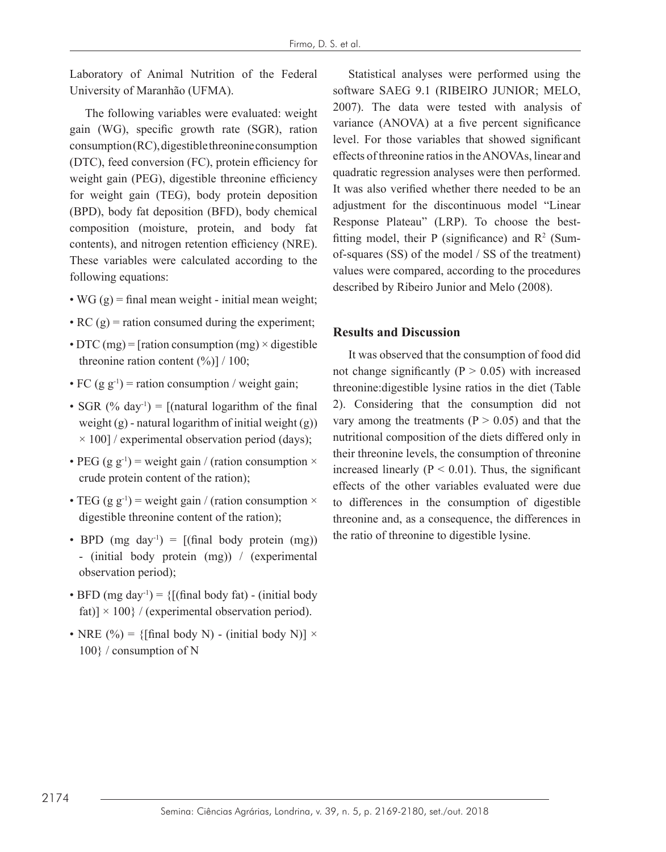Laboratory of Animal Nutrition of the Federal University of Maranhão (UFMA).

The following variables were evaluated: weight gain (WG), specific growth rate (SGR), ration consumption (RC), digestible threonine consumption (DTC), feed conversion (FC), protein efficiency for weight gain (PEG), digestible threonine efficiency for weight gain (TEG), body protein deposition (BPD), body fat deposition (BFD), body chemical composition (moisture, protein, and body fat contents), and nitrogen retention efficiency (NRE). These variables were calculated according to the following equations:

- WG  $(g)$  = final mean weight initial mean weight;
- RC  $(g)$  = ration consumed during the experiment;
- DTC (mg) = [ration consumption (mg)  $\times$  digestible threonine ration content  $(\%)] / 100$ ;
- FC (g  $g^{-1}$ ) = ration consumption / weight gain;
- SGR  $(\%$  day<sup>-1</sup>) = [(natural logarithm of the final weight  $(g)$  - natural logarithm of initial weight  $(g)$ )  $\times$  100] / experimental observation period (days);
- PEG (g g<sup>-1</sup>) = weight gain / (ration consumption  $\times$ crude protein content of the ration);
- TEG (g g<sup>-1</sup>) = weight gain / (ration consumption  $\times$ digestible threonine content of the ration);
- BPD (mg day<sup>-1</sup>) =  $[($ final body protein (mg)) - (initial body protein (mg)) / (experimental observation period);
- BFD (mg day<sup>-1</sup>) = {[(final body fat) (initial body fat)]  $\times$  100} / (experimental observation period).
- NRE (%) = {[final body N) (initial body N)]  $\times$ 100} / consumption of N

Statistical analyses were performed using the software SAEG 9.1 (RIBEIRO JUNIOR; MELO, 2007). The data were tested with analysis of variance (ANOVA) at a five percent significance level. For those variables that showed significant effects of threonine ratios in the ANOVAs, linear and quadratic regression analyses were then performed. It was also verified whether there needed to be an adjustment for the discontinuous model "Linear Response Plateau" (LRP). To choose the bestfitting model, their P (significance) and  $\mathbb{R}^2$  (Sumof-squares (SS) of the model / SS of the treatment) values were compared, according to the procedures described by Ribeiro Junior and Melo (2008).

### **Results and Discussion**

It was observed that the consumption of food did not change significantly  $(P > 0.05)$  with increased threonine:digestible lysine ratios in the diet (Table 2). Considering that the consumption did not vary among the treatments ( $P > 0.05$ ) and that the nutritional composition of the diets differed only in their threonine levels, the consumption of threonine increased linearly ( $P < 0.01$ ). Thus, the significant effects of the other variables evaluated were due to differences in the consumption of digestible threonine and, as a consequence, the differences in the ratio of threonine to digestible lysine.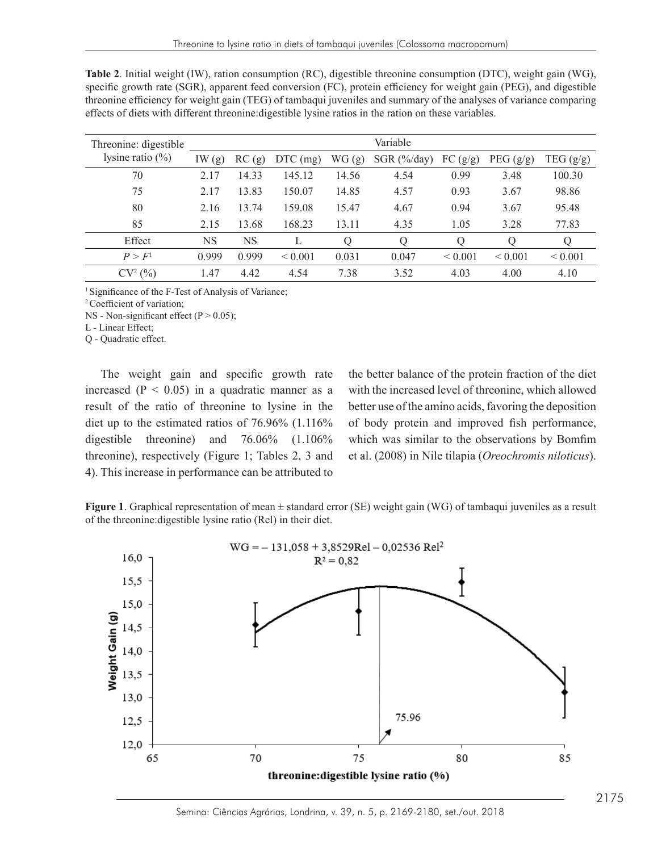| Threonine: digestible | Variable |           |             |       |               |              |             |              |
|-----------------------|----------|-----------|-------------|-------|---------------|--------------|-------------|--------------|
| lysine ratio $(\% )$  | IW(g)    | RC(g)     | $DTC$ (mg)  | WG(g) | $SGR$ (%/day) | FC (g/g)     | PEG $(g/g)$ | TEG $(g/g)$  |
| 70                    | 2.17     | 14.33     | 145.12      | 14.56 | 4.54          | 0.99         | 3.48        | 100.30       |
| 75                    | 2.17     | 13.83     | 150.07      | 14.85 | 4.57          | 0.93         | 3.67        | 98.86        |
| 80                    | 2.16     | 13.74     | 159.08      | 15.47 | 4.67          | 0.94         | 3.67        | 95.48        |
| 85                    | 2.15     | 13.68     | 168.23      | 13.11 | 4.35          | 1.05         | 3.28        | 77.83        |
| Effect                | NS       | <b>NS</b> |             | Q     | Q             | Q            | Q           | Q            |
| P > F <sup>1</sup>    | 0.999    | 0.999     | ${}< 0.001$ | 0.031 | 0.047         | ${}_{0.001}$ | ${}< 0.001$ | ${}_{0.001}$ |
| $CV2(\%)$             | 1.47     | 4.42      | 4.54        | 7.38  | 3.52          | 4.03         | 4.00        | 4.10         |

**Table 2**. Initial weight (IW), ration consumption (RC), digestible threonine consumption (DTC), weight gain (WG), specific growth rate (SGR), apparent feed conversion (FC), protein efficiency for weight gain (PEG), and digestible threonine efficiency for weight gain (TEG) of tambaqui juveniles and summary of the analyses of variance comparing effects of diets with different threonine:digestible lysine ratios in the ration on these variables.

<sup>1</sup> Significance of the F-Test of Analysis of Variance;

<sup>2</sup> Coefficient of variation;

NS - Non-significant effect  $(P > 0.05)$ ;

L - Linear Effect;

Q - Quadratic effect. The weight gain and specific growth rate increased (P  $\alpha$  -  $\alpha$ ) in a set of  $\alpha$ 

increased  $(P < 0.05)$  in a quadratic manner as a result of the ratio of threonine to lysine in the diet up to the estimated ratios of 76.96% (1.116% digestible threonine) and 76.06% (1.106% threonine), respectively (Figure 1; Tables 2, 3 and 4). This increase in performance can be attributed to

The weight gain and specific growth rate the better balance of the protein fraction of the diet the better balance of the protein fraction of the diet reased ( $P < 0.05$ ) in a quadratic manner as a with the increased level of threonine, which allowed alt of the ratio of threonine to lysine in the better use of the amino acids, favoring the deposition of body protein and improved fish performance, extible threonine) and 76.06% (1.106% which was similar to the observations by Bomfim et al. (2008) in Nile tilapia (*Oreochromis niloticus*).

Figure 1. Graphical representation of mean  $\pm$  standard error (SE) weight gain (WG) of tambaqui juveniles as a result of the threonine:digestible lysine ratio (Rel) in their diet.

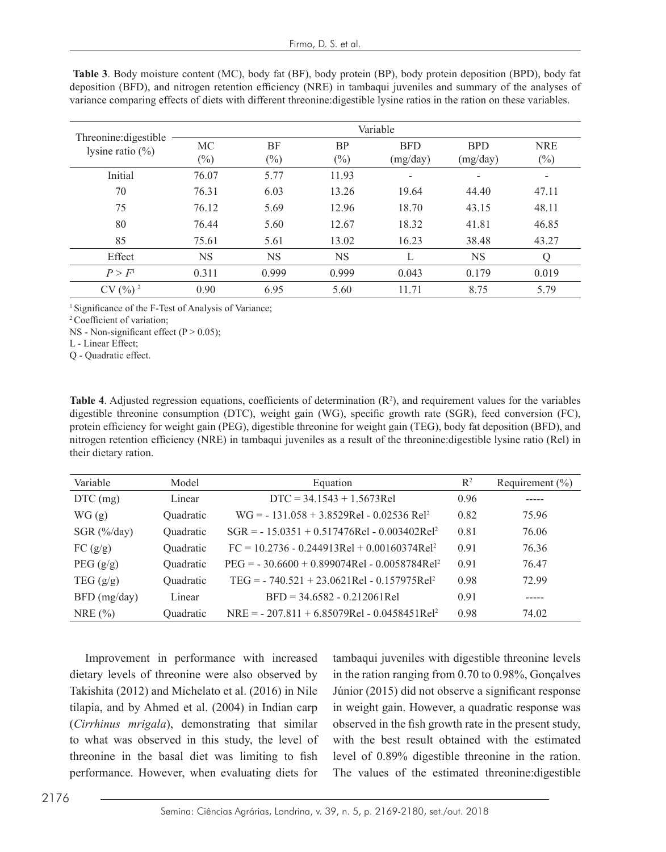|                                              | Variable  |           |           |            |            |            |  |  |
|----------------------------------------------|-----------|-----------|-----------|------------|------------|------------|--|--|
| Threonine: digestible<br>lysine ratio $(\%)$ | MC        | BF        | <b>BP</b> | <b>BFD</b> | <b>BPD</b> | <b>NRE</b> |  |  |
|                                              | $(\%)$    | $(\%)$    | $(\%)$    | (mg/day)   | (mg/day)   | $(\%)$     |  |  |
| Initial                                      | 76.07     | 5.77      | 11.93     |            |            |            |  |  |
| 70                                           | 76.31     | 6.03      | 13.26     | 19.64      | 44.40      | 47.11      |  |  |
| 75                                           | 76.12     | 5.69      | 12.96     | 18.70      | 43.15      | 48.11      |  |  |
| 80                                           | 76.44     | 5.60      | 12.67     | 18.32      | 41.81      | 46.85      |  |  |
| 85                                           | 75.61     | 5.61      | 13.02     | 16.23      | 38.48      | 43.27      |  |  |
| Effect                                       | <b>NS</b> | <b>NS</b> | NS        |            | <b>NS</b>  | Q          |  |  |
| P > F <sup>1</sup>                           | 0.311     | 0.999     | 0.999     | 0.043      | 0.179      | 0.019      |  |  |
| $CV(%)^2$                                    | 0.90      | 6.95      | 5.60      | 11.71      | 8.75       | 5.79       |  |  |

**Table 3**. Body moisture content (MC), body fat (BF), body protein (BP), body protein deposition (BPD), body fat deposition (BFD), and nitrogen retention efficiency (NRE) in tambaqui juveniles and summary of the analyses of variance comparing effects of diets with different threonine:digestible lysine ratios in the ration on these variables.

<sup>1</sup> Significance of the F-Test of Analysis of Variance;

<sup>2</sup>Coefficient of variation;

NS - Non-significant effect  $(P > 0.05)$ ;

L - Linear Effect;

Q - Quadratic effect.

Table 4. Adjusted regression equations, coefficients of determination  $(R^2)$ , and requirement values for the variables digestible threonine consumption (DTC), weight gain (WG), specific growth rate (SGR), feed conversion (FC), protein efficiency for weight gain (PEG), digestible threonine for weight gain (TEG), body fat deposition (BFD), and nitrogen retention efficiency (NRE) in tambaqui juveniles as a result of the threonine:digestible lysine ratio (Rel) in their dietary ration.

| Variable              | Model     | Equation                                                   | $\mathbb{R}^2$ | Requirement $(\% )$ |
|-----------------------|-----------|------------------------------------------------------------|----------------|---------------------|
| $DTC$ (mg)            | Linear    | $DTC = 34.1543 + 1.5673Rel$                                | 0.96           |                     |
| WG(g)                 | Quadratic | $WG = -131.058 + 3.8529Rel - 0.02536 Rel2$                 | 0.82           | 75.96               |
| SGR $(\frac{6}{day})$ | Quadratic | $SGR = -15.0351 + 0.517476$ Rel - 0.003402Rel <sup>2</sup> | 0.81           | 76.06               |
| FC $(g/g)$            | Quadratic | $FC = 10.2736 - 0.244913Rel + 0.00160374Rel^2$             | 0.91           | 76.36               |
| PEG $(g/g)$           | Quadratic | $PEG = -30.6600 + 0.899074Rel - 0.0058784Rel^2$            | 0.91           | 76.47               |
| TEG $(g/g)$           | Quadratic | $TEG = -740.521 + 23.0621$ Rel - 0.157975Rel <sup>2</sup>  | 0.98           | 72.99               |
| $BFD$ (mg/day)        | Linear    | $BFD = 34.6582 - 0.212061$ Rel                             | 0.91           |                     |
| NRE $(%)$             | Quadratic | $NRE = -207.811 + 6.85079Rel - 0.0458451Rel^2$             | 0.98           | 74.02               |

Improvement in performance with increased dietary levels of threonine were also observed by Takishita (2012) and Michelato et al. (2016) in Nile tilapia, and by Ahmed et al. (2004) in Indian carp (*Cirrhinus mrigala*), demonstrating that similar to what was observed in this study, the level of threonine in the basal diet was limiting to fish performance. However, when evaluating diets for tambaqui juveniles with digestible threonine levels in the ration ranging from 0.70 to 0.98%, Gonçalves Júnior (2015) did not observe a significant response in weight gain. However, a quadratic response was observed in the fish growth rate in the present study, with the best result obtained with the estimated level of 0.89% digestible threonine in the ration. The values of the estimated threonine:digestible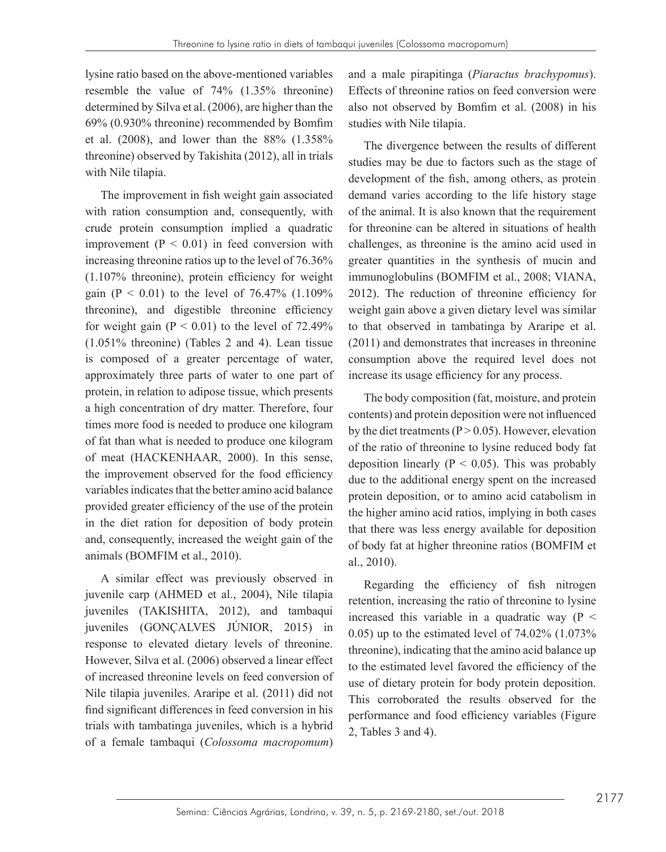lysine ratio based on the above-mentioned variables resemble the value of 74% (1.35% threonine) determined by Silva et al. (2006), are higher than the 69% (0.930% threonine) recommended by Bomfim et al. (2008), and lower than the 88% (1.358% threonine) observed by Takishita (2012), all in trials with Nile tilapia.

The improvement in fish weight gain associated with ration consumption and, consequently, with crude protein consumption implied a quadratic improvement  $(P < 0.01)$  in feed conversion with increasing threonine ratios up to the level of 76.36% (1.107% threonine), protein efficiency for weight gain ( $P < 0.01$ ) to the level of 76.47% (1.109%) threonine), and digestible threonine efficiency for weight gain  $(P < 0.01)$  to the level of 72.49% (1.051% threonine) (Tables 2 and 4). Lean tissue is composed of a greater percentage of water, approximately three parts of water to one part of protein, in relation to adipose tissue, which presents a high concentration of dry matter. Therefore, four times more food is needed to produce one kilogram of fat than what is needed to produce one kilogram of meat (HACKENHAAR, 2000). In this sense, the improvement observed for the food efficiency variables indicates that the better amino acid balance provided greater efficiency of the use of the protein in the diet ration for deposition of body protein and, consequently, increased the weight gain of the animals (BOMFIM et al., 2010).

A similar effect was previously observed in juvenile carp (AHMED et al., 2004), Nile tilapia juveniles (TAKISHITA, 2012), and tambaqui juveniles (GONÇALVES JÚNIOR, 2015) in response to elevated dietary levels of threonine. However, Silva et al. (2006) observed a linear effect of increased threonine levels on feed conversion of Nile tilapia juveniles. Araripe et al. (2011) did not find significant differences in feed conversion in his trials with tambatinga juveniles, which is a hybrid of a female tambaqui (*Colossoma macropomum*)

and a male pirapitinga (*Piaractus brachypomus*). Effects of threonine ratios on feed conversion were also not observed by Bomfim et al. (2008) in his studies with Nile tilapia.

The divergence between the results of different studies may be due to factors such as the stage of development of the fish, among others, as protein demand varies according to the life history stage of the animal. It is also known that the requirement for threonine can be altered in situations of health challenges, as threonine is the amino acid used in greater quantities in the synthesis of mucin and immunoglobulins (BOMFIM et al., 2008; VIANA, 2012). The reduction of threonine efficiency for weight gain above a given dietary level was similar to that observed in tambatinga by Araripe et al. (2011) and demonstrates that increases in threonine consumption above the required level does not increase its usage efficiency for any process.

The body composition (fat, moisture, and protein contents) and protein deposition were not influenced by the diet treatments ( $P > 0.05$ ). However, elevation of the ratio of threonine to lysine reduced body fat deposition linearly ( $P < 0.05$ ). This was probably due to the additional energy spent on the increased protein deposition, or to amino acid catabolism in the higher amino acid ratios, implying in both cases that there was less energy available for deposition of body fat at higher threonine ratios (BOMFIM et al., 2010).

Regarding the efficiency of fish nitrogen retention, increasing the ratio of threonine to lysine increased this variable in a quadratic way  $(P \leq$ 0.05) up to the estimated level of 74.02% (1.073% threonine), indicating that the amino acid balance up to the estimated level favored the efficiency of the use of dietary protein for body protein deposition. This corroborated the results observed for the performance and food efficiency variables (Figure 2, Tables 3 and 4).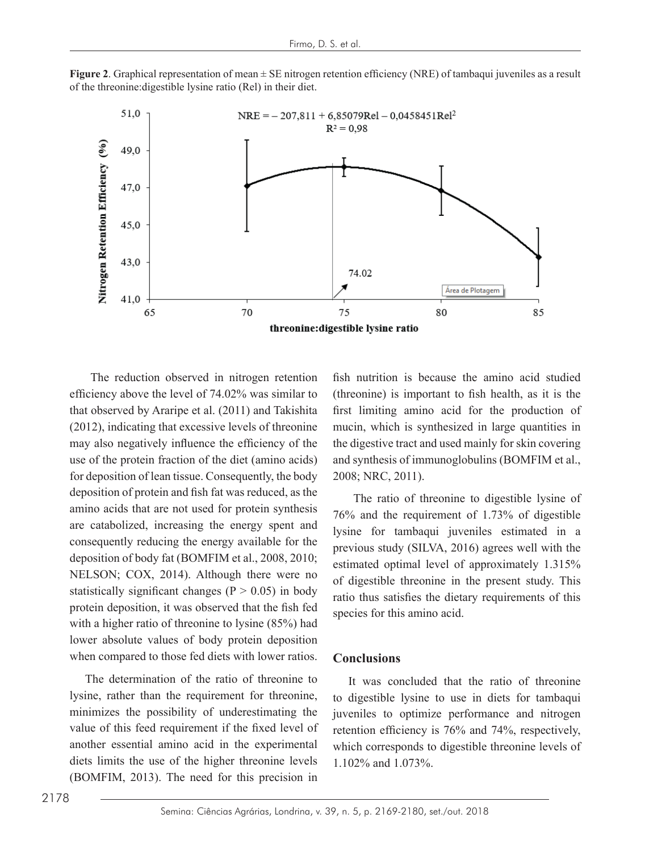**Figure 2.** Graphical representation of mean  $\pm$  SE nitrogen retention efficiency (NRE) of tambaqui juveniles as a result of the threonine:digestible lysine ratio (Rel) in their diet.



for deposition of lean tissue. Consequently, the body  $2008$ ; NRC, 2011). are catabolized, increasing the energy spent and  $\frac{1}{1}$  loss and the  $\frac{1}{2}$  consequently reducing the energy available for the requirement for lambaquily juveniles. Command in deposition of body fat (BOMFIM et al., 2008, 2010;  $\frac{1}{\text{estimated optimal level of approximately 1.31}}$ NELSON; COX, 2014). Although there were no  $\epsilon$  digestible threonine in the present study. The with a higher ratio of threonine to lysine  $(85%)$  had when compared to those fed diets with lower ratios. The reduction observed in nitrogen retention efficiency above the level of 74.02% was similar to that observed by Araripe et al. (2011) and Takishita (2012), indicating that excessive levels of threonine may also negatively influence the efficiency of the use of the protein fraction of the diet (amino acids) deposition of protein and fish fat was reduced, as the amino acids that are not used for protein synthesis statistically significant changes ( $P > 0.05$ ) in body protein deposition, it was observed that the fish fed lower absolute values of body protein deposition

minimizes the possibility of underestimating the inveniles to optimize performance and nitro. value of this feed requirement if the fixed level of  $\frac{1}{\pi}$ diets limits the use of the higher threonine levels  $\sum_{i=1}^{n}$ The determination of the ratio of threonine to lysine, rather than the requirement for threonine, another essential amino acid in the experimental (BOMFIM, 2013). The need for this precision in

uction observed in nitrogen retention fish nutrition is because the amino acid studied that is the level of  $74.02\%$  was similar to (threonine) is important to fish health, as it is the observed by Araripe et al. (2011) and Takishita first limiting amino acid for the production of 12), indicating that excessive levels of threonine mucin, which is synthesized in large quantities in also negatively influence the efficiency of the the digestive tract and used mainly for skin covering of the protein fraction of the diet (amino acids) and synthesis of immunoglobulins (BOMFIM et al., 2008; NRC, 2011).

 $\frac{1}{2}$  as higher ratio of threonine to digestible lysine of  $\frac{1}{2}$  as the  $\frac{1}{2}$  The ratio of threonine to digestible lysine of stically significant changes ( $P > 0.05$ ) in body ratio thus satisfies the dietary requirements of this  $\epsilon$  in deposition, it was observed that the first lied species for this amino acid. 76% and the requirement of 1.73% of digestible lysine for tambaqui juveniles estimated in a previous study (SILVA, 2016) agrees well with the estimated optimal level of approximately 1.315% of digestible threonine in the present study. This

#### The ratio of three nine of  $76\%$ **Conclusions**

In the determination of the ratio of threonine to The was concluded that the ratio of threonine to digestible lysine to use in diets for tambaqui juveniles to optimize performance and nitrogen retention efficiency is 76% and 74%, respectively, which corresponds to digestible threonine levels of 1.102% and 1.073%.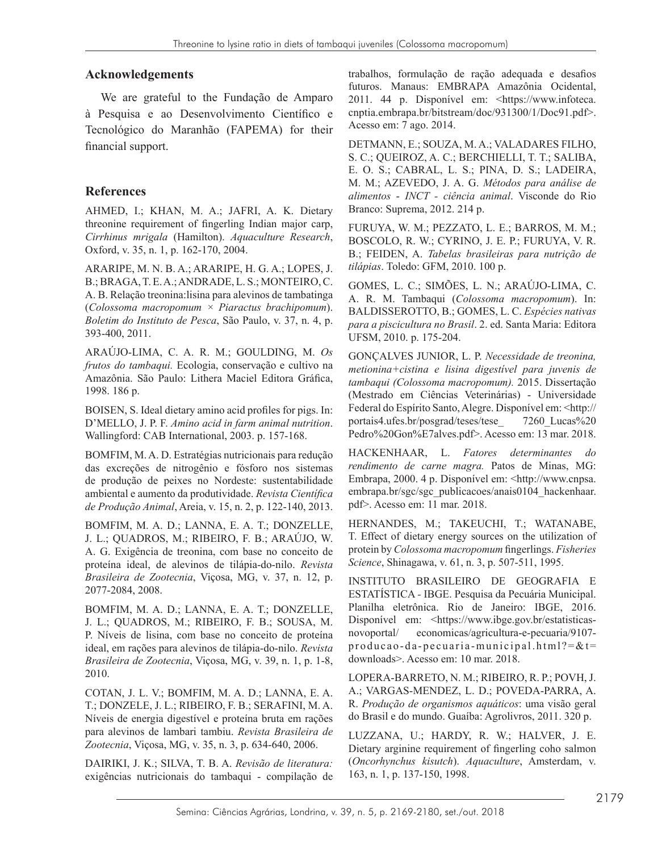### **Acknowledgements**

We are grateful to the Fundação de Amparo à Pesquisa e ao Desenvolvimento Científico e Tecnológico do Maranhão (FAPEMA) for their financial support.

### **References**

AHMED, I.; KHAN, M. A.; JAFRI, A. K. Dietary threonine requirement of fingerling Indian major carp, *Cirrhinus mrigala* (Hamilton). *Aquaculture Research*, Oxford, v. 35, n. 1, p. 162-170, 2004.

ARARIPE, M. N. B. A.; ARARIPE, H. G. A.; LOPES, J. B.; BRAGA, T. E. A.; ANDRADE, L. S.; MONTEIRO, C. A. B. Relação treonina:lisina para alevinos de tambatinga (*Colossoma macropomum × Piaractus brachipomum*). *Boletim do Instituto de Pesca*, São Paulo, v. 37, n. 4, p. 393-400, 2011.

ARAÚJO-LIMA, C. A. R. M.; GOULDING, M. *Os frutos do tambaqui.* Ecologia, conservação e cultivo na Amazônia. São Paulo: Lithera Maciel Editora Gráfica, 1998. 186 p.

BOISEN, S. Ideal dietary amino acid profiles for pigs. In: D'MELLO, J. P. F. *Amino acid in farm animal nutrition*. Wallingford: CAB International, 2003. p. 157-168.

BOMFIM, M. A. D. Estratégias nutricionais para redução das excreções de nitrogênio e fósforo nos sistemas de produção de peixes no Nordeste: sustentabilidade ambiental e aumento da produtividade. *Revista Científica de Produção Animal*, Areia, v. 15, n. 2, p. 122-140, 2013.

BOMFIM, M. A. D.; LANNA, E. A. T.; DONZELLE, J. L.; QUADROS, M.; RIBEIRO, F. B.; ARAÚJO, W. A. G. Exigência de treonina, com base no conceito de proteína ideal, de alevinos de tilápia-do-nilo. *Revista Brasileira de Zootecnia*, Viçosa, MG, v. 37, n. 12, p. 2077-2084, 2008.

BOMFIM, M. A. D.; LANNA, E. A. T.; DONZELLE, J. L.; QUADROS, M.; RIBEIRO, F. B.; SOUSA, M. P. Níveis de lisina, com base no conceito de proteína ideal, em rações para alevinos de tilápia-do-nilo. *Revista Brasileira de Zootecnia*, Viçosa, MG, v. 39, n. 1, p. 1-8, 2010.

COTAN, J. L. V.; BOMFIM, M. A. D.; LANNA, E. A. T.; DONZELE, J. L.; RIBEIRO, F. B.; SERAFINI, M. A. Níveis de energia digestível e proteína bruta em rações para alevinos de lambari tambiu. *Revista Brasileira de Zootecnia*, Viçosa, MG, v. 35, n. 3, p. 634-640, 2006.

DAIRIKI, J. K.; SILVA, T. B. A. *Revisão de literatura:*  exigências nutricionais do tambaqui - compilação de trabalhos, formulação de ração adequada e desafios futuros. Manaus: EMBRAPA Amazônia Ocidental, 2011. 44 p. Disponível em: <https://www.infoteca. cnptia.embrapa.br/bitstream/doc/931300/1/Doc91.pdf>. Acesso em: 7 ago. 2014.

DETMANN, E.; SOUZA, M. A.; VALADARES FILHO, S. C.; QUEIROZ, A. C.; BERCHIELLI, T. T.; SALIBA, E. O. S.; CABRAL, L. S.; PINA, D. S.; LADEIRA, M. M.; AZEVEDO, J. A. G. *Métodos para análise de alimentos* - *INCT - ciência animal*. Visconde do Rio Branco: Suprema, 2012. 214 p.

FURUYA, W. M.; PEZZATO, L. E.; BARROS, M. M.; BOSCOLO, R. W.; CYRINO, J. E. P.; FURUYA, V. R. B.; FEIDEN, A. *Tabelas brasileiras para nutrição de tilápias*. Toledo: GFM, 2010. 100 p.

GOMES, L. C.; SIMÕES, L. N.; ARAÚJO-LIMA, C. A. R. M. Tambaqui (*Colossoma macropomum*). In: BALDISSEROTTO, B.; GOMES, L. C. *Espécies nativas para a piscicultura no Brasil*. 2. ed. Santa Maria: Editora UFSM, 2010. p. 175-204.

GONÇALVES JUNIOR, L. P. *Necessidade de treonina, metionina+cistina e lisina digestível para juvenis de tambaqui (Colossoma macropomum).* 2015. Dissertação (Mestrado em Ciências Veterinárias) - Universidade Federal do Espírito Santo, Alegre. Disponível em: <http:// portais4.ufes.br/posgrad/teses/tese\_ 7260\_Lucas%20 Pedro%20Gon%E7alves.pdf>. Acesso em: 13 mar. 2018.

HACKENHAAR, L. *Fatores determinantes do rendimento de carne magra.* Patos de Minas, MG: Embrapa, 2000. 4 p. Disponível em: <http://www.cnpsa. embrapa.br/sgc/sgc\_publicacoes/anais0104\_hackenhaar. pdf>. Acesso em: 11 mar. 2018.

HERNANDES, M.; TAKEUCHI, T.; WATANABE, T. Effect of dietary energy sources on the utilization of protein by *Colossoma macropomum* fingerlings. *Fisheries Science*, Shinagawa, v. 61, n. 3, p. 507-511, 1995.

INSTITUTO BRASILEIRO DE GEOGRAFIA E ESTATÍSTICA *-* IBGE. Pesquisa da Pecuária Municipal. Planilha eletrônica. Rio de Janeiro: IBGE, 2016. Disponível em: <https://www.ibge.gov.br/estatisticasnovoportal/ economicas/agricultura-e-pecuaria/9107-  $\text{produca}\circ\text{da}\cdot\text{pecuaria-municipal.html?} = \& t =$ downloads>. Acesso em: 10 mar. 2018.

LOPERA-BARRETO, N. M.; RIBEIRO, R. P.; POVH, J. A.; VARGAS-MENDEZ, L. D.; POVEDA-PARRA, A. R. *Produção de organismos aquáticos*: uma visão geral do Brasil e do mundo. Guaíba: Agrolivros, 2011. 320 p.

LUZZANA, U.; HARDY, R. W.; HALVER, J. E. Dietary arginine requirement of fingerling coho salmon (*Oncorhynchus kisutch*). *Aquaculture*, Amsterdam, v. 163, n. 1, p. 137-150, 1998.